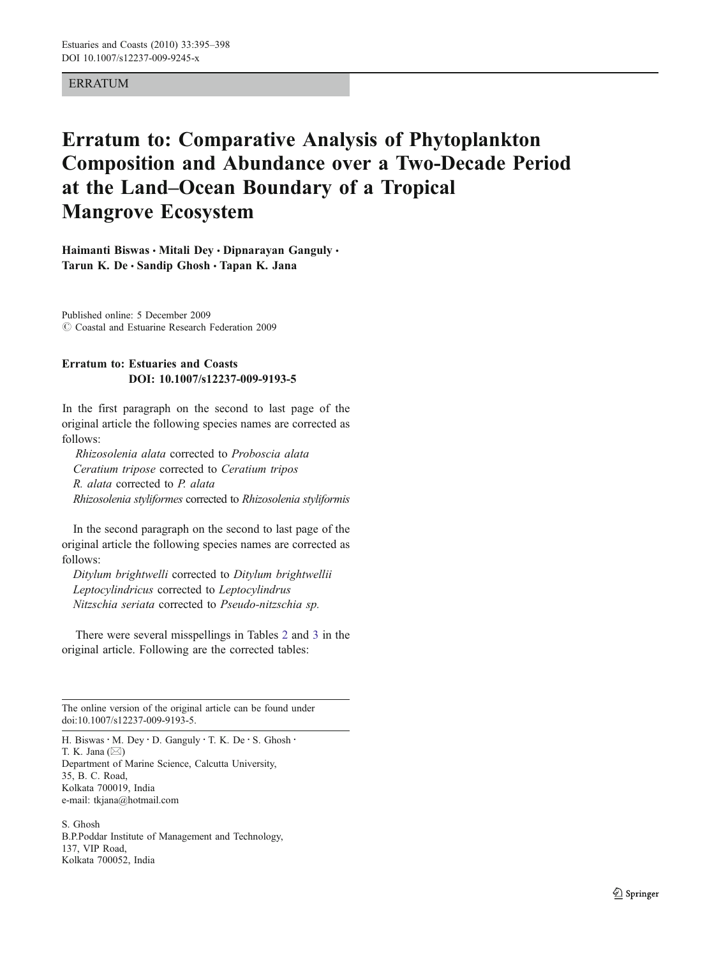## **ERRATUM**

## Erratum to: Comparative Analysis of Phytoplankton Composition and Abundance over a Two-Decade Period at the Land*–*Ocean Boundary of a Tropical Mangrove Ecosystem

Haimanti Biswas • Mitali Dey • Dipnarayan Ganguly • Tarun K. De  $\cdot$  Sandip Ghosh  $\cdot$  Tapan K. Jana

Published online: 5 December 2009  $\odot$  Coastal and Estuarine Research Federation 2009

## Erratum to: Estuaries and Coasts DOI: 10.1007/s12237-009-9193-5

In the first paragraph on the second to last page of the original article the following species names are corrected as follows:

Rhizosolenia alata corrected to Proboscia alata Ceratium tripose corrected to Ceratium tripos R. alata corrected to P. alata Rhizosolenia styliformes corrected to Rhizosolenia styliformis

In the second paragraph on the second to last page of the original article the following species names are corrected as follows:

Ditylum brightwelli corrected to Ditylum brightwellii Leptocylindricus corrected to Leptocylindrus Nitzschia seriata corrected to Pseudo-nitzschia sp.

There were several misspellings in Tables [2](#page-1-0) and [3](#page-3-0) [in the](#page-3-0) [original article. Following are the corrected tables:](#page-3-0)

The online version of the original article can be found under doi[:10.1007/s12237-009-9193-5](http://dx.doi.org/10.1007/s12237-009-9193-5).

H. Biswas · M. Dey · D. Ganguly · T. K. De · S. Ghosh · T. K. Jana (*\**) Department of Marine Science, Calcutta University, 35, B. C. Road, Kolkata 700019, India e-mail: tkjana@hotmail.com

S. Ghosh B.P.Poddar Institute of Management and Technology, 137, VIP Road, Kolkata 700052, India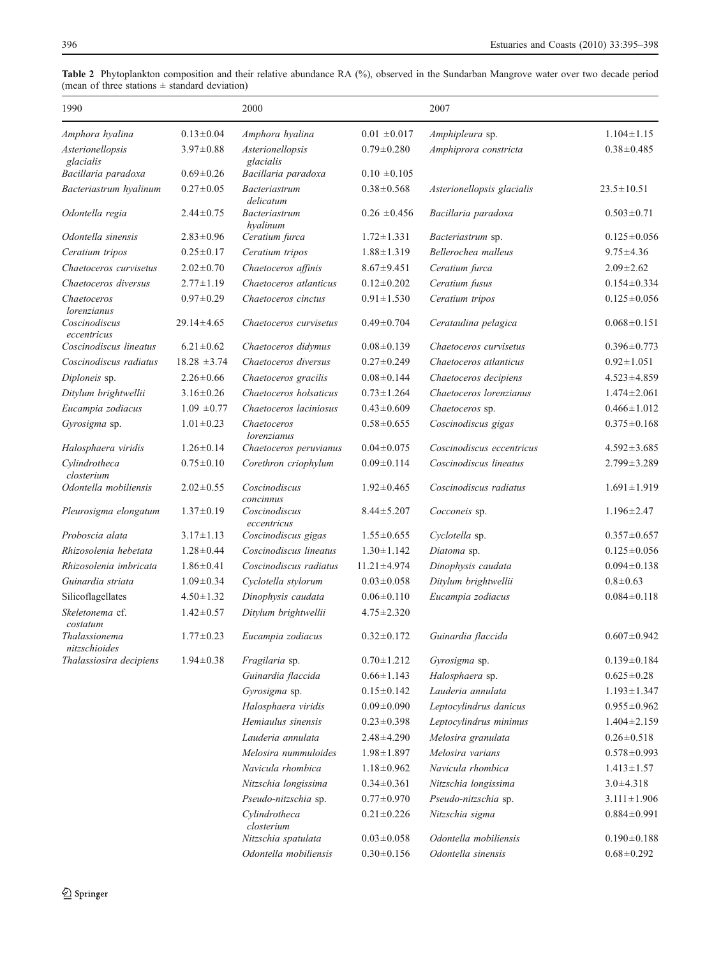| 1990                           |                  | 2000                          |                   | 2007                       |                   |
|--------------------------------|------------------|-------------------------------|-------------------|----------------------------|-------------------|
| Amphora hyalina                | $0.13 \pm 0.04$  | Amphora hyalina               | $0.01 \pm 0.017$  | Amphipleura sp.            | $1.104 \pm 1.15$  |
| Asterionellopsis<br>glacialis  | $3.97 \pm 0.88$  | Asterionellopsis<br>glacialis | $0.79 \pm 0.280$  | Amphiprora constricta      | $0.38 \pm 0.485$  |
| Bacillaria paradoxa            | $0.69 \pm 0.26$  | Bacillaria paradoxa           | $0.10 \pm 0.105$  |                            |                   |
| Bacteriastrum hyalinum         | $0.27 \pm 0.05$  | Bacteriastrum<br>delicatum    | $0.38 \pm 0.568$  | Asterionellopsis glacialis | $23.5 \pm 10.51$  |
| Odontella regia                | $2.44 \pm 0.75$  | Bacteriastrum<br>hyalinum     | $0.26 \pm 0.456$  | Bacillaria paradoxa        | $0.503 \pm 0.71$  |
| Odontella sinensis             | $2.83 \pm 0.96$  | Ceratium furca                | $1.72 \pm 1.331$  | <i>Bacteriastrum</i> sp.   | $0.125 \pm 0.056$ |
| Ceratium tripos                | $0.25 \pm 0.17$  | Ceratium tripos               | $1.88 \pm 1.319$  | Bellerochea malleus        | $9.75 \pm 4.36$   |
| Chaetoceros curvisetus         | $2.02 \pm 0.70$  | Chaetoceros affinis           | $8.67 \pm 9.451$  | Ceratium furca             | $2.09 \pm 2.62$   |
| Chaetoceros diversus           | $2.77 \pm 1.19$  | Chaetoceros atlanticus        | $0.12 \pm 0.202$  | Ceratium fusus             | $0.154 \pm 0.334$ |
| Chaetoceros<br>lorenzianus     | $0.97 \pm 0.29$  | Chaetoceros cinctus           | $0.91 \pm 1.530$  | Ceratium tripos            | $0.125 \pm 0.056$ |
| Coscinodiscus<br>eccentricus   | $29.14 \pm 4.65$ | Chaetoceros curvisetus        | $0.49 \pm 0.704$  | Cerataulina pelagica       | $0.068 \pm 0.151$ |
| Coscinodiscus lineatus         | $6.21 \pm 0.62$  | Chaetoceros didymus           | $0.08 \pm 0.139$  | Chaetoceros curvisetus     | $0.396 \pm 0.773$ |
| Coscinodiscus radiatus         | $18.28 \pm 3.74$ | Chaetoceros diversus          | $0.27 \pm 0.249$  | Chaetoceros atlanticus     | $0.92 \pm 1.051$  |
| Diploneis sp.                  | $2.26 \pm 0.66$  | Chaetoceros gracilis          | $0.08 \pm 0.144$  | Chaetoceros decipiens      | $4.523 \pm 4.859$ |
| Ditylum brightwellii           | $3.16 \pm 0.26$  | Chaetoceros holsaticus        | $0.73 \pm 1.264$  | Chaetoceros lorenzianus    | $1.474 \pm 2.061$ |
| Eucampia zodiacus              | $1.09 \pm 0.77$  | Chaetoceros laciniosus        | $0.43 \pm 0.609$  | Chaetoceros sp.            | $0.466 \pm 1.012$ |
| Gyrosigma sp.                  | $1.01 \pm 0.23$  | Chaetoceros<br>lorenzianus    | $0.58 \pm 0.655$  | Coscinodiscus gigas        | $0.375 \pm 0.168$ |
| Halosphaera viridis            | $1.26 \pm 0.14$  | Chaetoceros peruvianus        | $0.04 \pm 0.075$  | Coscinodiscus eccentricus  | $4.592 \pm 3.685$ |
| Cylindrotheca<br>closterium    | $0.75 \pm 0.10$  | Corethron criophylum          | $0.09 \pm 0.114$  | Coscinodiscus lineatus     | $2.799 \pm 3.289$ |
| Odontella mobiliensis          | $2.02 \pm 0.55$  | Coscinodiscus<br>concinnus    | $1.92 \pm 0.465$  | Coscinodiscus radiatus     | $1.691 \pm 1.919$ |
| Pleurosigma elongatum          | $1.37 \pm 0.19$  | Coscinodiscus<br>eccentricus  | $8.44 \pm 5.207$  | Cocconeis sp.              | $1.196 \pm 2.47$  |
| Proboscia alata                | $3.17 \pm 1.13$  | Coscinodiscus gigas           | $1.55 \pm 0.655$  | Cyclotella sp.             | $0.357 \pm 0.657$ |
| Rhizosolenia hebetata          | $1.28 \pm 0.44$  | Coscinodiscus lineatus        | $1.30 \pm 1.142$  | Diatoma sp.                | $0.125 \pm 0.056$ |
| Rhizosolenia imbricata         | $1.86 \pm 0.41$  | Coscinodiscus radiatus        | $11.21 \pm 4.974$ | Dinophysis caudata         | $0.094 \pm 0.138$ |
| Guinardia striata              | $1.09 \pm 0.34$  | Cyclotella stylorum           | $0.03 \pm 0.058$  | Ditylum brightwellii       | $0.8 + 0.63$      |
| Silicoflagellates              | $4.50 \pm 1.32$  | Dinophysis caudata            | $0.06 \pm 0.110$  | Eucampia zodiacus          | $0.084 \pm 0.118$ |
| Skeletonema cf.<br>costatum    | $1.42 \pm 0.57$  | Ditylum brightwellii          | $4.75 \pm 2.320$  |                            |                   |
| Thalassionema<br>nitzschioides | $1.77 \pm 0.23$  | Eucampia zodiacus             | $0.32 \pm 0.172$  | Guinardia flaccida         | $0.607 \pm 0.942$ |
| Thalassiosira decipiens        | $1.94 \pm 0.38$  | Fragilaria sp.                | $0.70 \pm 1.212$  | Gyrosigma sp.              | $0.139 \pm 0.184$ |
|                                |                  | Guinardia flaccida            | $0.66 \pm 1.143$  | Halosphaera sp.            | $0.625 \pm 0.28$  |
|                                |                  | Gyrosigma sp.                 | $0.15 \pm 0.142$  | Lauderia annulata          | $1.193 \pm 1.347$ |
|                                |                  | Halosphaera viridis           | $0.09 \pm 0.090$  | Leptocylindrus danicus     | $0.955 \pm 0.962$ |
|                                |                  | Hemiaulus sinensis            | $0.23 \pm 0.398$  | Leptocylindrus minimus     | $1.404 \pm 2.159$ |
|                                |                  | Lauderia annulata             | $2.48 \pm 4.290$  | Melosira granulata         | $0.26 \pm 0.518$  |
|                                |                  | Melosira nummuloides          | $1.98 \pm 1.897$  | Melosira varians           | $0.578 \pm 0.993$ |
|                                |                  | Navicula rhombica             | $1.18 \pm 0.962$  | Navicula rhombica          | $1.413 \pm 1.57$  |
|                                |                  | Nitzschia longissima          | $0.34 \pm 0.361$  | Nitzschia longissima       | $3.0 \pm 4.318$   |
|                                |                  | Pseudo-nitzschia sp.          | $0.77 \pm 0.970$  | Pseudo-nitzschia sp.       | $3.111 \pm 1.906$ |
|                                |                  | Cylindrotheca<br>closterium   | $0.21 \pm 0.226$  | Nitzschia sigma            | $0.884 \pm 0.991$ |
|                                |                  | Nitzschia spatulata           | $0.03 \pm 0.058$  | Odontella mobiliensis      | $0.190 \pm 0.188$ |

Odontella mobiliensis  $0.30 \pm 0.156$  Odontella sinensis  $0.68 \pm 0.292$ 

<span id="page-1-0"></span>Table 2 Phytoplankton composition and their relative abundance RA (%), observed in the Sundarban Mangrove water over two decade period (mean of three stations  $\pm$  standard deviation)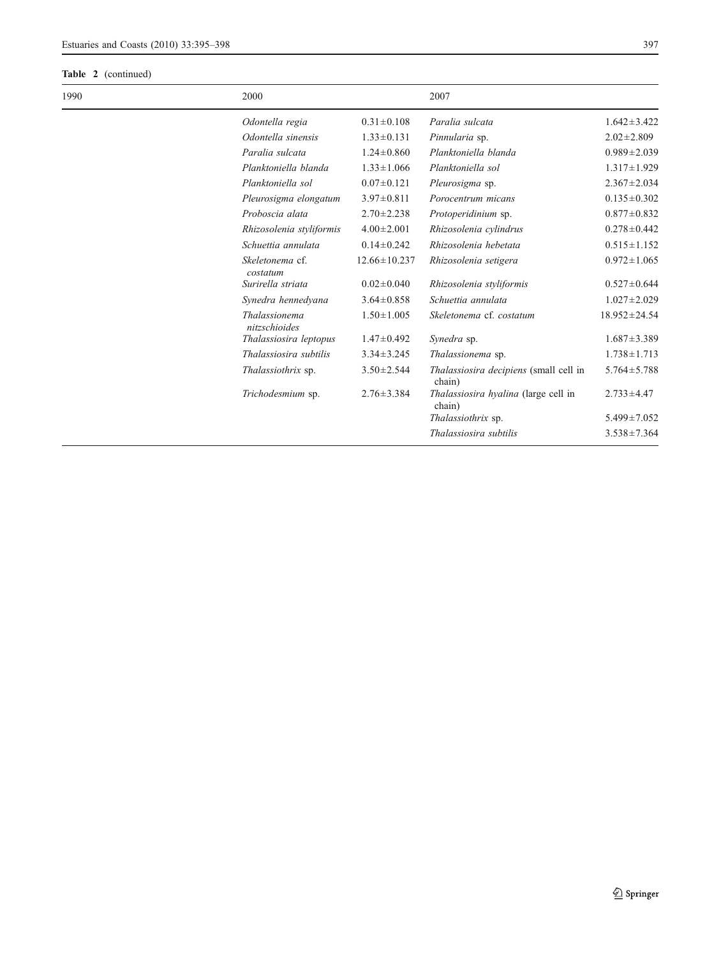## Table 2 (continued)

| 1990 | 2000                           |                    | 2007                                                    |                    |
|------|--------------------------------|--------------------|---------------------------------------------------------|--------------------|
|      | Odontella regia                | $0.31 \pm 0.108$   | Paralia sulcata                                         | $1.642 \pm 3.422$  |
|      | Odontella sinensis             | $1.33 \pm 0.131$   | Pinnularia sp.                                          | $2.02 \pm 2.809$   |
|      | Paralia sulcata                | $1.24 \pm 0.860$   | Planktoniella blanda                                    | $0.989 \pm 2.039$  |
|      | Planktoniella blanda           | $1.33 \pm 1.066$   | Planktoniella sol                                       | $1.317 \pm 1.929$  |
|      | Planktoniella sol              | $0.07 \pm 0.121$   | Pleurosigma sp.                                         | $2.367 \pm 2.034$  |
|      | Pleurosigma elongatum          | $3.97 \pm 0.811$   | Porocentrum micans                                      | $0.135 \pm 0.302$  |
|      | Proboscia alata                | $2.70 \pm 2.238$   | Protoperidinium sp.                                     | $0.877 \pm 0.832$  |
|      | Rhizosolenia styliformis       | $4.00 \pm 2.001$   | Rhizosolenia cylindrus                                  | $0.278 \pm 0.442$  |
|      | Schuettia annulata             | $0.14 \pm 0.242$   | Rhizosolenia hebetata                                   | $0.515 \pm 1.152$  |
|      | Skeletonema cf.<br>costatum    | $12.66 \pm 10.237$ | Rhizosolenia setigera                                   | $0.972 \pm 1.065$  |
|      | Surirella striata              | $0.02 \pm 0.040$   | Rhizosolenia styliformis                                | $0.527 \pm 0.644$  |
|      | Synedra hennedyana             | $3.64 \pm 0.858$   | Schuettia annulata                                      | $1.027 \pm 2.029$  |
|      | Thalassionema<br>nitzschioides | $1.50 \pm 1.005$   | Skeletonema cf. costatum                                | $18.952 \pm 24.54$ |
|      | Thalassiosira leptopus         | $1.47 \pm 0.492$   | Synedra sp.                                             | $1.687 \pm 3.389$  |
|      | Thalassiosira subtilis         | $3.34 \pm 3.245$   | Thalassionema sp.                                       | $1.738 \pm 1.713$  |
|      | Thalassiothrix sp.             | $3.50 \pm 2.544$   | <i>Thalassiosira decipiens</i> (small cell in<br>chain) | $5.764 \pm 5.788$  |
|      | Trichodesmium sp.              | $2.76 \pm 3.384$   | <i>Thalassiosira hyalina</i> (large cell in<br>chain)   | $2.733 \pm 4.47$   |
|      |                                |                    | Thalassiothrix sp.                                      | $5.499 \pm 7.052$  |
|      |                                |                    | Thalassiosira subtilis                                  | $3.538 \pm 7.364$  |